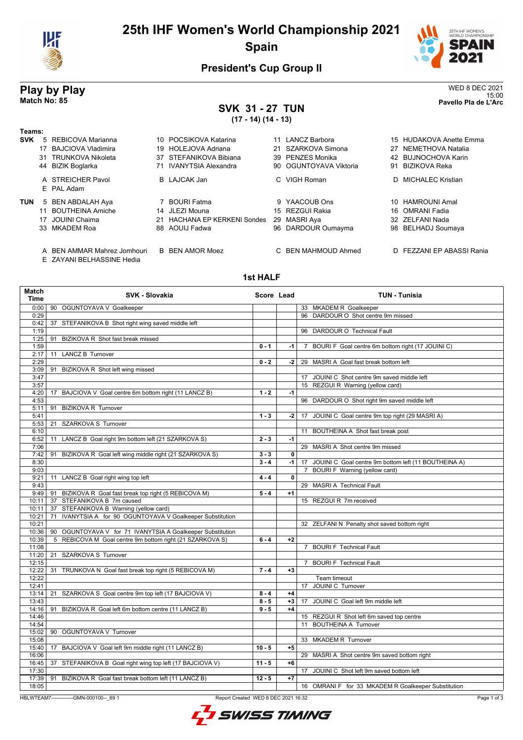

# **25th IHF Women's World Championship 2021 Spain**



15:00 **Match No: 85 Pavello Pla de L'Arc**

### **President's Cup Group II**

# **Play by Play**<br>Match No: 85<br>Pavello Pla de L'Arc

#### **SVK 31 - 27 TUN (17 - 14) (14 - 13)**

| Teams:     |    |                                 |     |                                  |                        |                         |
|------------|----|---------------------------------|-----|----------------------------------|------------------------|-------------------------|
| <b>SVK</b> |    | 5 REBICOVA Marianna             |     | 10 POCSIKOVA Katarina            | 11 LANCZ Barbora       | 15 HUDAKOVA Anette Emma |
|            |    | 17 BAJCIOVA Vladimira           |     | 19 HOLEJOVA Adriana              | 21 SZARKOVA Simona     | 27 NEMETHOVA Natalia    |
|            | 31 | TRUNKOVA Nikoleta               |     | 37 STEFANIKOVA Bibiana           | 39 PENZES Monika       | 42 BUJNOCHOVA Karin     |
|            |    | 44 BIZIK Boglarka               |     | <b>IVANYTSIA Alexandra</b>       | 90 OGUNTOYAVA Viktoria | 91 BIZIKOVA Reka        |
|            |    | A STREICHER Pavol<br>E PAL Adam |     | B LAJCAK Jan                     | C. VIGH Roman          | D MICHALEC Kristian     |
| <b>TUN</b> |    | 5 BEN ABDALAH Aya               |     | <b>BOURI Fatma</b>               | 9 YAACOUB Ons          | 10 HAMROUNI Amal        |
|            |    | 11 BOUTHEINA Amiche             |     | 14 JLEZI Mouna                   | 15 REZGUI Rakia        | 16 OMRANI Fadia         |
|            |    | 17 JOUINI Chaima                | 21. | <b>HACHANA EP KERKENI Sondes</b> | 29 MASRI Aya           | 32 ZELFANI Nada         |
|            |    | 33 MKADEM Roa                   |     | 88 AOUIJ Fadwa                   | 96 DARDOUR Oumayma     | 98 BELHADJ Soumaya      |
|            |    |                                 |     |                                  |                        |                         |

- A BEN AMMAR Mahrez Jomhouri B BEN AMOR Moez C BEN MAHMOUD Ahmed D FEZZANI EP ABASSI Rania
- E ZAYANI BELHASSINE Hedia

#### **1st HALF**

| Match<br>Time  | <b>SVK - Slovakia</b>                                         | Score Lead |              | <b>TUN - Tunisia</b>                                             |
|----------------|---------------------------------------------------------------|------------|--------------|------------------------------------------------------------------|
| 0:00           | 90 OGUNTOYAVA V Goalkeeper                                    |            |              | 33 MKADEM R Goalkeeper                                           |
| 0:29           |                                                               |            |              | 96 DARDOUR O Shot centre 9m missed                               |
| 0:42           | 37 STEFANIKOVA B Shot right wing saved middle left            |            |              |                                                                  |
| 1:19           |                                                               |            |              | 96 DARDOUR O Technical Fault                                     |
| 1:25           | 91 BIZIKOVA R Shot fast break missed                          |            |              |                                                                  |
| 1:59           |                                                               | $0 - 1$    | -1           | BOURI F Goal centre 6m bottom right (17 JOUINI C)<br>$7^{\circ}$ |
| 2:17           | <b>LANCZ B Turnover</b><br>11                                 |            |              |                                                                  |
| 2:29           |                                                               | $0 - 2$    | $-2$         | 29 MASRI A Goal fast break bottom left                           |
| 3:09           | 91 BIZIKOVA R Shot left wing missed                           |            |              |                                                                  |
| 3:47           |                                                               |            |              | 17 JOUINI C Shot centre 9m saved middle left                     |
| 3:57           |                                                               |            |              | 15 REZGUI R Warning (yellow card)                                |
| 4:20<br>4:53   | BAJCIOVA V Goal centre 6m bottom right (11 LANCZ B)<br>17     | $1 - 2$    | $-1$         |                                                                  |
|                | 91 BIZIKOVA R Turnover                                        |            |              | 96 DARDOUR O Shot right 9m saved middle left                     |
| 5:11<br>5:41   |                                                               | $1 - 3$    | $-2$         | 17 JOUINI C Goal centre 9m top right (29 MASRI A)                |
| 5:53           | 21 SZARKOVA S Turnover                                        |            |              |                                                                  |
| 6:10           |                                                               |            |              | 11 BOUTHEINA A Shot fast break post                              |
| 6:52           | 11 LANCZ B Goal right 9m bottom left (21 SZARKOVA S)          | $2 - 3$    | $-1$         |                                                                  |
| 7:06           |                                                               |            |              | 29 MASRI A Shot centre 9m missed                                 |
| 7:42           | 91 BIZIKOVA R Goal left wing middle right (21 SZARKOVA S)     | $3 - 3$    | 0            |                                                                  |
| 8:30           |                                                               | $3 - 4$    | $-1$         | 17 JOUINI C Goal centre 9m bottom left (11 BOUTHEINA A)          |
| 9:03           |                                                               |            |              | 7 BOURI F Warning (yellow card)                                  |
| 9:21           | 11 LANCZ B Goal right wing top left                           | $4 - 4$    | $\mathbf{0}$ |                                                                  |
| 9:43           |                                                               |            |              | 29 MASRI A Technical Fault                                       |
| 9:49           | 91 BIZIKOVA R Goal fast break top right (5 REBICOVA M)        | $5 - 4$    | $+1$         |                                                                  |
| 10:11          | 37 STEFANIKOVA B 7m caused                                    |            |              | 15 REZGUI R 7m received                                          |
| 10:11          | STEFANIKOVA B Warning (yellow card)<br>37                     |            |              |                                                                  |
| 10:21          | IVANYTSIA A for 90 OGUNTOYAVA V Goalkeeper Substitution<br>71 |            |              |                                                                  |
| 10:21          |                                                               |            |              | 32 ZELFANI N Penalty shot saved bottom right                     |
| 10:36          | 90 OGUNTOYAVA V for 71 IVANYTSIA A Goalkeeper Substitution    |            |              |                                                                  |
| 10:39          | REBICOVA M Goal centre 9m bottom right (21 SZARKOVA S)<br>5   | $6 - 4$    | $+2$         |                                                                  |
| 11:08          |                                                               |            |              | 7 BOURI F Technical Fault                                        |
| 11:20          | 21 SZARKOVA S Turnover                                        |            |              |                                                                  |
| 12:15          |                                                               |            |              | <b>BOURI F Technical Fault</b><br>$7^{\circ}$                    |
| 12:22          | 31 TRUNKOVA N Goal fast break top right (5 REBICOVA M)        | $7 - 4$    | $+3$         |                                                                  |
| 12:22          |                                                               |            |              | Team timeout                                                     |
| 12:41          |                                                               |            |              | 17 JOUINI C Turnover                                             |
| 13:14          | 21 SZARKOVA S Goal centre 9m top left (17 BAJCIOVA V)         | $8 - 4$    | $+4$         |                                                                  |
| 13:43          |                                                               | $8 - 5$    | $+3$         | 17 JOUINI C Goal left 9m middle left                             |
| 14:16          | 91 BIZIKOVA R Goal left 6m bottom centre (11 LANCZ B)         | $9 - 5$    | $+4$         |                                                                  |
| 14:46          |                                                               |            |              | 15 REZGUI R Shot left 6m saved top centre                        |
| 14:54          |                                                               |            |              | 11 BOUTHEINA A Turnover                                          |
| 15:02          | 90 OGUNTOYAVA V Turnover                                      |            |              | 33 MKADEM R Turnover                                             |
| 15:08<br>15:40 | BAJCIOVA V Goal left 9m middle right (11 LANCZ B)<br>17       | $10 - 5$   | $+5$         |                                                                  |
| 16:06          |                                                               |            |              | 29 MASRI A Shot centre 9m saved bottom right                     |
| 16:45          | 37 STEFANIKOVA B Goal right wing top left (17 BAJCIOVA V)     | $11 - 5$   | $+6$         |                                                                  |
| 17:30          |                                                               |            |              | 17 JOUINI C Shot left 9m saved bottom left                       |
| 17:39          | 91 BIZIKOVA R Goal fast break bottom left (11 LANCZ B)        | $12 - 5$   | $+7$         |                                                                  |
| 18:05          |                                                               |            |              | 16 OMRANI F for 33 MKADEM R Goalkeeper Substitution              |
|                |                                                               |            |              |                                                                  |

HBLWTEAM7--------------GMN-000100--\_69 1 Report Created WED 8 DEC 2021 16:32

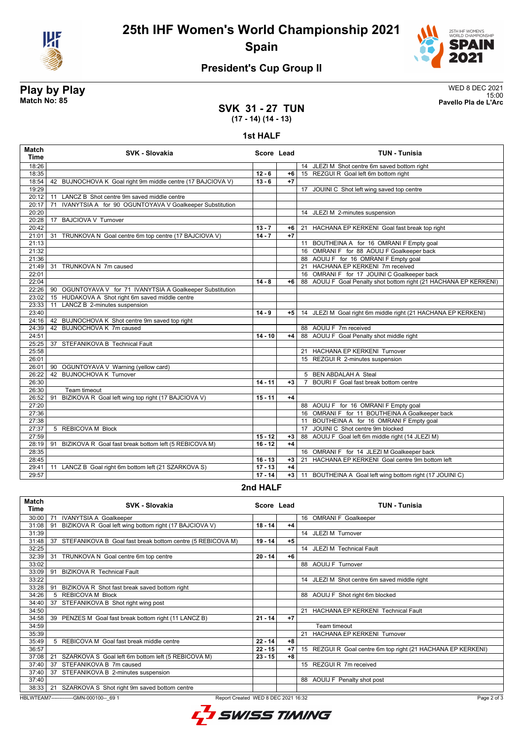

**25th IHF Women's World Championship 2021 Spain**



### **President's Cup Group II**

# **Play by Play**<br>Match No: 85<br>Pavello Pla de L'Arc

15:00 **Match No: 85 Pavello Pla de L'Arc**

#### **SVK 31 - 27 TUN (17 - 14) (14 - 13)**

#### **1st HALF**

| <b>Match</b><br><b>Time</b> | <b>SVK - Slovakia</b>                                         | Score Lead |      | <b>TUN - Tunisia</b>                                              |
|-----------------------------|---------------------------------------------------------------|------------|------|-------------------------------------------------------------------|
| 18:26                       |                                                               |            |      | 14 JLEZI M Shot centre 6m saved bottom right                      |
| 18:35                       |                                                               | $12 - 6$   | $+6$ | 15 REZGUI R Goal left 6m bottom right                             |
| 18:54                       | 42 BUJNOCHOVA K Goal right 9m middle centre (17 BAJCIOVA V)   | $13 - 6$   | $+7$ |                                                                   |
| 19:29                       |                                                               |            |      | 17 JOUINI C Shot left wing saved top centre                       |
| 20:12                       | LANCZ B Shot centre 9m saved middle centre<br>11              |            |      |                                                                   |
| 20:17                       | IVANYTSIA A for 90 OGUNTOYAVA V Goalkeeper Substitution<br>71 |            |      |                                                                   |
| 20:20                       |                                                               |            |      | 14 JLEZI M 2-minutes suspension                                   |
| 20:28                       | <b>BAJCIOVA V Turnover</b><br>17                              |            |      |                                                                   |
| 20:42                       |                                                               | $13 - 7$   | $+6$ | 21 HACHANA EP KERKENI Goal fast break top right                   |
| 21:01                       | 31<br>TRUNKOVA N Goal centre 6m top centre (17 BAJCIOVA V)    | $14 - 7$   | $+7$ |                                                                   |
| 21:13                       |                                                               |            |      | 11 BOUTHEINA A for 16 OMRANI F Empty goal                         |
| 21:32                       |                                                               |            |      | 16 OMRANI F for 88 AOUIJ F Goalkeeper back                        |
| 21:36                       |                                                               |            |      | 88 AOUIJ F for 16 OMRANI F Empty goal                             |
| 21:49                       | 31 TRUNKOVA N 7m caused                                       |            |      | 21 HACHANA EP KERKENI 7m received                                 |
| 22:01                       |                                                               |            |      | 16 OMRANI F for 17 JOUINI C Goalkeeper back                       |
| 22:04                       |                                                               | $14 - 8$   | $+6$ | 88 AOUIJ F Goal Penalty shot bottom right (21 HACHANA EP KERKENI) |
| 22:26                       | 90 OGUNTOYAVA V for 71 IVANYTSIA A Goalkeeper Substitution    |            |      |                                                                   |
| 23:02                       | 15 HUDAKOVA A Shot right 6m saved middle centre               |            |      |                                                                   |
| 23:33                       | 11<br>LANCZ B 2-minutes suspension                            |            |      |                                                                   |
| 23:40                       |                                                               | $14 - 9$   | +5   | 14 JLEZI M Goal right 6m middle right (21 HACHANA EP KERKENI)     |
| 24:16                       | 42 BUJNOCHOVA K Shot centre 9m saved top right                |            |      |                                                                   |
| 24:39                       | 42 BUJNOCHOVA K 7m caused                                     |            |      | 88 AOUIJ F 7m received                                            |
| 24:51                       |                                                               | $14 - 10$  | $+4$ | 88 AOUIJ F Goal Penalty shot middle right                         |
| 25:25                       | 37 STEFANIKOVA B Technical Fault                              |            |      |                                                                   |
| 25:58                       |                                                               |            |      | 21 HACHANA EP KERKENI Turnover                                    |
| 26:01                       |                                                               |            |      | 15 REZGUI R 2-minutes suspension                                  |
| 26:01                       | 90 OGUNTOYAVA V Warning (yellow card)                         |            |      |                                                                   |
| 26:22                       | 42 BUJNOCHOVA K Turnover                                      |            |      | 5 BEN ABDALAH A Steal                                             |
| 26:30                       |                                                               | $14 - 11$  | $+3$ | 7 BOURLE Goal fast break bottom centre                            |
| 26:30                       | Team timeout                                                  |            |      |                                                                   |
| 26:52                       | BIZIKOVA R Goal left wing top right (17 BAJCIOVA V)<br>91     | $15 - 11$  | $+4$ |                                                                   |
| 27:20                       |                                                               |            |      | 88 AOUIJ F for 16 OMRANI F Empty goal                             |
| 27:36                       |                                                               |            |      | 16 OMRANI F for 11 BOUTHEINA A Goalkeeper back                    |
| 27:38                       |                                                               |            |      | 11 BOUTHEINA A for 16 OMRANI F Empty goal                         |
| 27:37                       | 5 REBICOVA M Block                                            |            |      | 17 JOUINI C Shot centre 9m blocked                                |
| 27:59                       |                                                               | $15 - 12$  | $+3$ | 88 AOUIJ F Goal left 6m middle right (14 JLEZI M)                 |
| 28:19                       | 91 BIZIKOVA R Goal fast break bottom left (5 REBICOVA M)      | $16 - 12$  | $+4$ |                                                                   |
| 28:35                       |                                                               |            |      | 16 OMRANI F for 14 JLEZI M Goalkeeper back                        |
| 28:45                       |                                                               | $16 - 13$  | $+3$ | 21 HACHANA EP KERKENI Goal centre 9m bottom left                  |
| 29:41                       | LANCZ B Goal right 6m bottom left (21 SZARKOVA S)<br>11       | $17 - 13$  | $+4$ |                                                                   |
| 29:57                       |                                                               | $17 - 14$  | $+3$ | 11 BOUTHEINA A Goal left wing bottom right (17 JOUINI C)          |

#### **2nd HALF**

| <b>Match</b><br>Time | <b>SVK - Slovakia</b>                                            | Score Lead |      | <b>TUN - Tunisia</b>                                         |
|----------------------|------------------------------------------------------------------|------------|------|--------------------------------------------------------------|
| 30:00                | <b>IVANYTSIA A Goalkeeper</b><br>71                              |            |      | 16 OMRANI F Goalkeeper                                       |
| 31:08                | BIZIKOVA R Goal left wing bottom right (17 BAJCIOVA V)<br>91     | $18 - 14$  | $+4$ |                                                              |
| 31:39                |                                                                  |            |      | 14 JLEZI M Turnover                                          |
| 31:48                | 37<br>STEFANIKOVA B Goal fast break bottom centre (5 REBICOVA M) | $19 - 14$  | $+5$ |                                                              |
| 32:25                |                                                                  |            |      | 14 JLEZI M Technical Fault                                   |
| 32:39                | TRUNKOVA N Goal centre 6m top centre<br>31                       | $20 - 14$  | $+6$ |                                                              |
| 33:02                |                                                                  |            |      | 88 AOUIJ F Turnover                                          |
| 33:09                | <b>BIZIKOVA R Technical Fault</b><br>91                          |            |      |                                                              |
| 33:22                |                                                                  |            |      | 14 JLEZI M Shot centre 6m saved middle right                 |
| 33:28                | BIZIKOVA R Shot fast break saved bottom right<br>91              |            |      |                                                              |
| 34:26                | 5 REBICOVA M Block                                               |            |      | 88 AOUIJ F Shot right 6m blocked                             |
| 34:40                | STEFANIKOVA B Shot right wing post<br>37                         |            |      |                                                              |
| 34:50                |                                                                  |            |      | 21 HACHANA EP KERKENI Technical Fault                        |
| 34:58                | 39<br>PENZES M Goal fast break bottom right (11 LANCZ B)         | $21 - 14$  | $+7$ |                                                              |
| 34:59                |                                                                  |            |      | Team timeout                                                 |
| 35:39                |                                                                  |            |      | 21 HACHANA EP KERKENI Turnover                               |
| 35:49                | 5 REBICOVA M Goal fast break middle centre                       | $22 - 14$  | $+8$ |                                                              |
| 36:57                |                                                                  | $22 - 15$  | $+7$ | 15 REZGUI R Goal centre 6m top right (21 HACHANA EP KERKENI) |
| 37:08                | SZARKOVA S Goal left 6m bottom left (5 REBICOVA M)<br>21         | $23 - 15$  | $+8$ |                                                              |
| 37:40                | 37 STEFANIKOVA B 7m caused                                       |            |      | 15 REZGUI R 7m received                                      |
| 37:40                | STEFANIKOVA B 2-minutes suspension<br>37                         |            |      |                                                              |
| 37:40                |                                                                  |            |      | 88 AOUIJ F Penalty shot post                                 |
| 38:33                | SZARKOVA S Shot right 9m saved bottom centre<br>21               |            |      |                                                              |

HBLWTEAM7--------------GMN-000100--\_69 1 Report Created WED 8 DEC 2021 16:32